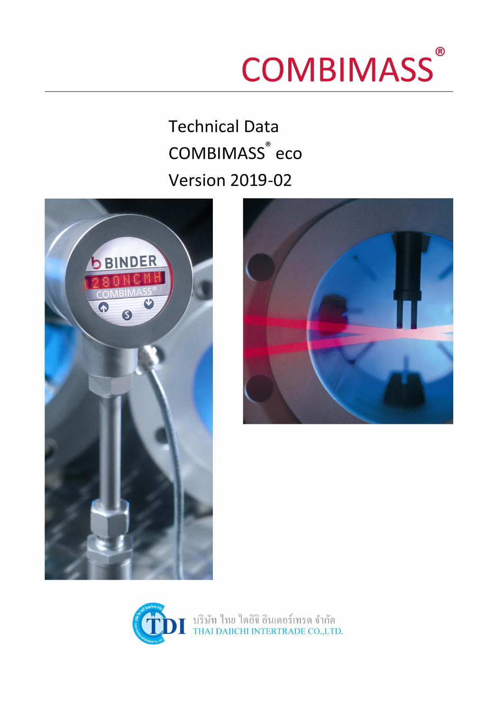# **COMBIMASS®**

**Technical Data COMBIMASS<sup>®</sup>** eco **Version 2019-02** 





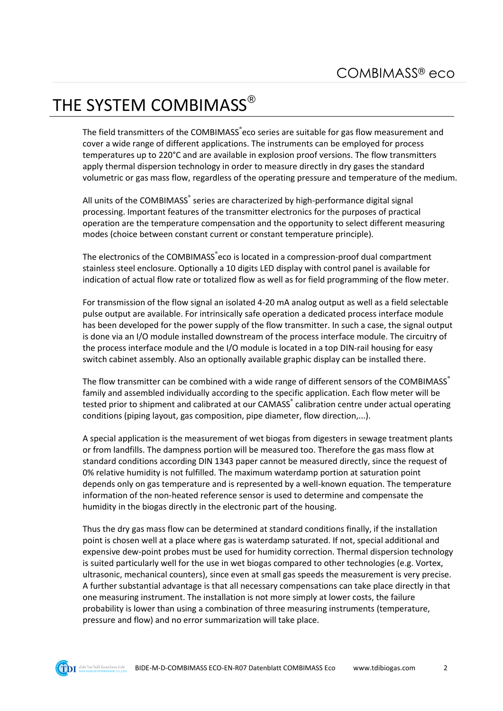# THE SYSTEM COMBIMASS®

The field transmitters of the COMBIMASS<sup>®</sup>eco series are suitable for gas flow measurement and cover a wide range of different applications. The instruments can be employed for process temperatures up to 220°C and are available in explosion proof versions. The flow transmitters apply thermal dispersion technology in order to measure directly in dry gases the standard volumetric or gas mass flow, regardless of the operating pressure and temperature of the medium.

All units of the COMBIMASS<sup>®</sup> series are characterized by high-performance digital signal processing. Important features of the transmitter electronics for the purposes of practical operation are the temperature compensation and the opportunity to select different measuring modes (choice between constant current or constant temperature principle).

The electronics of the COMBIMASS eco is located in a compression-proof dual compartment stainless steel enclosure. Optionally a 10 digits LED display with control panel is available for indication of actual flow rate or totalized flow as well as for field programming of the flow meter.

For transmission of the flow signal an isolated 4-20 mA analog output as well as a field selectable pulse output are available. For intrinsically safe operation a dedicated process interface module has been developed for the power supply of the flow transmitter. In such a case, the signal output is done via an I/O module installed downstream of the process interface module. The circuitry of the process interface module and the I/O module is located in a top DIN-rail housing for easy switch cabinet assembly. Also an optionally available graphic display can be installed there.

The flow transmitter can be combined with a wide range of different sensors of the COMBIMASS® family and assembled individually according to the specific application. Each flow meter will be tested prior to shipment and calibrated at our CAMASS<sup>®</sup> calibration centre under actual operating conditions (piping layout, gas composition, pipe diameter, flow direction,...).

A special application is the measurement of wet biogas from digesters in sewage treatment plants or from landfills. The dampness portion will be measured too. Therefore the gas mass flow at standard conditions according DIN 1343 paper cannot be measured directly, since the request of 0% relative humidity is not fulfilled. The maximum waterdamp portion at saturation point depends only on gas temperature and is represented by a well-known equation. The temperature information of the non-heated reference sensor is used to determine and compensate the humidity in the biogas directly in the electronic part of the housing.

Thus the dry gas mass flow can be determined at standard conditions finally, if the installation point is chosen well at a place where gas is waterdamp saturated. If not, special additional and expensive dew-point probes must be used for humidity correction. Thermal dispersion technology is suited particularly well for the use in wet biogas compared to other technologies (e.g. Vortex, ultrasonic, mechanical counters), since even at small gas speeds the measurement is very precise. A further substantial advantage is that all necessary compensations can take place directly in that one measuring instrument. The installation is not more simply at lower costs, the failure probability is lower than using a combination of three measuring instruments (temperature, pressure and flow) and no error summarization will take place.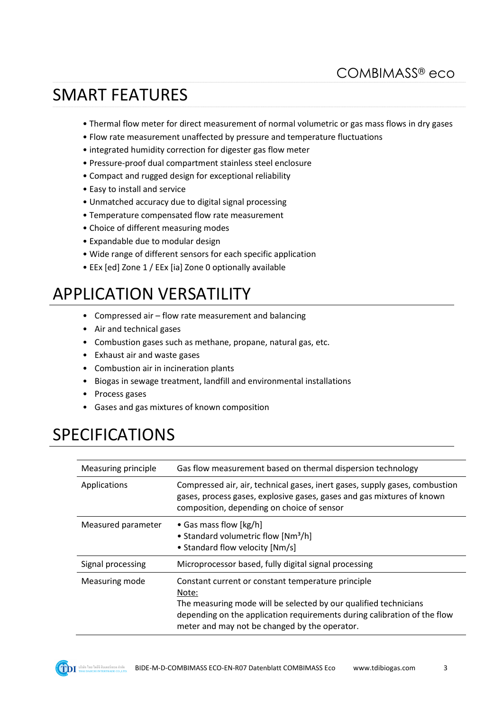# SMART FEATURES

- Thermal flow meter for direct measurement of normal volumetric or gas mass flows in dry gases
- Flow rate measurement unaffected by pressure and temperature fluctuations
- integrated humidity correction for digester gas flow meter
- Pressure-proof dual compartment stainless steel enclosure
- Compact and rugged design for exceptional reliability
- Easy to install and service
- Unmatched accuracy due to digital signal processing
- Temperature compensated flow rate measurement
- Choice of different measuring modes
- Expandable due to modular design
- Wide range of different sensors for each specific application
- EEx [ed] Zone 1 / EEx [ia] Zone 0 optionally available

## APPLICATION VERSATILITY

- Compressed air flow rate measurement and balancing
- Air and technical gases
- Combustion gases such as methane, propane, natural gas, etc.
- Exhaust air and waste gases
- Combustion air in incineration plants
- Biogas in sewage treatment, landfill and environmental installations
- Process gases
- Gases and gas mixtures of known composition

## SPECIFICATIONS

| Measuring principle | Gas flow measurement based on thermal dispersion technology                                                                                                                                                                                                  |  |
|---------------------|--------------------------------------------------------------------------------------------------------------------------------------------------------------------------------------------------------------------------------------------------------------|--|
| Applications        | Compressed air, air, technical gases, inert gases, supply gases, combustion<br>gases, process gases, explosive gases, gases and gas mixtures of known<br>composition, depending on choice of sensor                                                          |  |
| Measured parameter  | • Gas mass flow [kg/h]<br>• Standard volumetric flow [Nm <sup>3</sup> /h]<br>• Standard flow velocity [Nm/s]                                                                                                                                                 |  |
| Signal processing   | Microprocessor based, fully digital signal processing                                                                                                                                                                                                        |  |
| Measuring mode      | Constant current or constant temperature principle<br>Note:<br>The measuring mode will be selected by our qualified technicians<br>depending on the application requirements during calibration of the flow<br>meter and may not be changed by the operator. |  |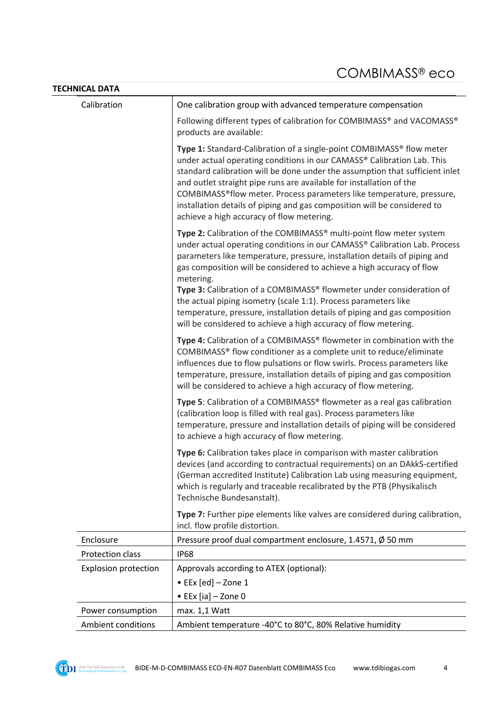| <b>TECHNICAL DATA</b>       |                                                                                                                                                                                                                                                                                                                                                                                                                                                                                                                                             |  |  |
|-----------------------------|---------------------------------------------------------------------------------------------------------------------------------------------------------------------------------------------------------------------------------------------------------------------------------------------------------------------------------------------------------------------------------------------------------------------------------------------------------------------------------------------------------------------------------------------|--|--|
| Calibration                 | One calibration group with advanced temperature compensation                                                                                                                                                                                                                                                                                                                                                                                                                                                                                |  |  |
|                             | Following different types of calibration for COMBIMASS® and VACOMASS®<br>products are available:                                                                                                                                                                                                                                                                                                                                                                                                                                            |  |  |
|                             | Type 1: Standard-Calibration of a single-point COMBIMASS® flow meter<br>under actual operating conditions in our CAMASS® Calibration Lab. This<br>standard calibration will be done under the assumption that sufficient inlet<br>and outlet straight pipe runs are available for installation of the<br>COMBIMASS <sup>®</sup> flow meter. Process parameters like temperature, pressure,<br>installation details of piping and gas composition will be considered to<br>achieve a high accuracy of flow metering.                         |  |  |
|                             | Type 2: Calibration of the COMBIMASS® multi-point flow meter system<br>under actual operating conditions in our CAMASS® Calibration Lab. Process<br>parameters like temperature, pressure, installation details of piping and<br>gas composition will be considered to achieve a high accuracy of flow<br>metering.<br>Type 3: Calibration of a COMBIMASS® flowmeter under consideration of<br>the actual piping isometry (scale 1:1). Process parameters like<br>temperature, pressure, installation details of piping and gas composition |  |  |
|                             | will be considered to achieve a high accuracy of flow metering.<br>Type 4: Calibration of a COMBIMASS® flowmeter in combination with the<br>COMBIMASS® flow conditioner as a complete unit to reduce/eliminate<br>influences due to flow pulsations or flow swirls. Process parameters like<br>temperature, pressure, installation details of piping and gas composition<br>will be considered to achieve a high accuracy of flow metering.                                                                                                 |  |  |
|                             | Type 5: Calibration of a COMBIMASS® flowmeter as a real gas calibration<br>(calibration loop is filled with real gas). Process parameters like<br>temperature, pressure and installation details of piping will be considered<br>to achieve a high accuracy of flow metering.                                                                                                                                                                                                                                                               |  |  |
|                             | Type 6: Calibration takes place in comparison with master calibration<br>devices (and according to contractual requirements) on an DAkkS-certified<br>(German accredited Institute) Calibration Lab using measuring equipment,<br>which is regularly and traceable recalibrated by the PTB (Physikalisch<br>Technische Bundesanstalt).                                                                                                                                                                                                      |  |  |
|                             | Type 7: Further pipe elements like valves are considered during calibration,<br>incl. flow profile distortion.                                                                                                                                                                                                                                                                                                                                                                                                                              |  |  |
| Enclosure                   | Pressure proof dual compartment enclosure, 1.4571, Ø 50 mm                                                                                                                                                                                                                                                                                                                                                                                                                                                                                  |  |  |
| Protection class            | <b>IP68</b>                                                                                                                                                                                                                                                                                                                                                                                                                                                                                                                                 |  |  |
| <b>Explosion protection</b> | Approvals according to ATEX (optional):<br>$\bullet$ EEx [ed] - Zone 1                                                                                                                                                                                                                                                                                                                                                                                                                                                                      |  |  |
|                             | • EEx [ia] $-$ Zone 0                                                                                                                                                                                                                                                                                                                                                                                                                                                                                                                       |  |  |
| Power consumption           | max. 1,1 Watt                                                                                                                                                                                                                                                                                                                                                                                                                                                                                                                               |  |  |
| <b>Ambient conditions</b>   | Ambient temperature -40°C to 80°C, 80% Relative humidity                                                                                                                                                                                                                                                                                                                                                                                                                                                                                    |  |  |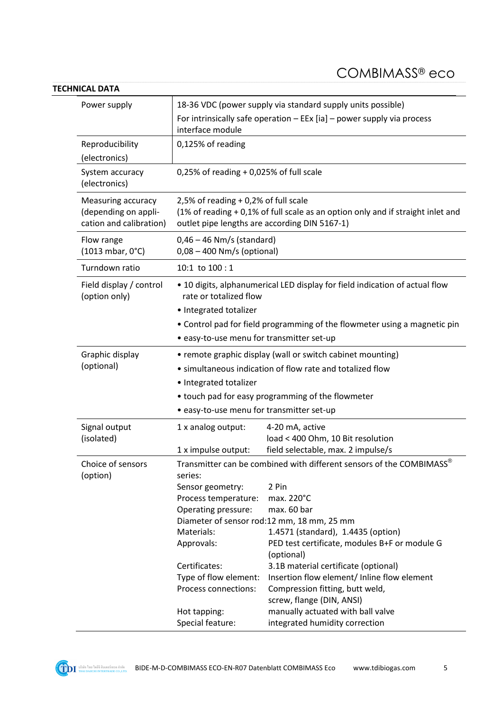#### **TECHNICAL DATA**

| Power supply                                                                 | 18-36 VDC (power supply via standard supply units possible)                                                                                                                                                  |                                                                     |  |
|------------------------------------------------------------------------------|--------------------------------------------------------------------------------------------------------------------------------------------------------------------------------------------------------------|---------------------------------------------------------------------|--|
|                                                                              | For intrinsically safe operation $-$ EEx [ia] $-$ power supply via process<br>interface module                                                                                                               |                                                                     |  |
| Reproducibility<br>(electronics)                                             | 0,125% of reading                                                                                                                                                                                            |                                                                     |  |
| System accuracy<br>(electronics)                                             | $0,25%$ of reading + 0,025% of full scale                                                                                                                                                                    |                                                                     |  |
| <b>Measuring accuracy</b><br>(depending on appli-<br>cation and calibration) | 2,5% of reading $+0.2$ % of full scale<br>(1% of reading + 0,1% of full scale as an option only and if straight inlet and<br>outlet pipe lengths are according DIN 5167-1)                                   |                                                                     |  |
| Flow range<br>(1013 mbar, 0°C)                                               | $0,46 - 46$ Nm/s (standard)<br>$0.08 - 400$ Nm/s (optional)                                                                                                                                                  |                                                                     |  |
| Turndown ratio                                                               | 10:1 to $100:1$                                                                                                                                                                                              |                                                                     |  |
| Field display / control<br>(option only)                                     | • 10 digits, alphanumerical LED display for field indication of actual flow<br>rate or totalized flow<br>• Integrated totalizer<br>• Control pad for field programming of the flowmeter using a magnetic pin |                                                                     |  |
|                                                                              | • easy-to-use menu for transmitter set-up                                                                                                                                                                    |                                                                     |  |
| Graphic display<br>(optional)                                                | • remote graphic display (wall or switch cabinet mounting)                                                                                                                                                   |                                                                     |  |
|                                                                              | • simultaneous indication of flow rate and totalized flow                                                                                                                                                    |                                                                     |  |
|                                                                              | • Integrated totalizer                                                                                                                                                                                       |                                                                     |  |
|                                                                              | • touch pad for easy programming of the flowmeter<br>· easy-to-use menu for transmitter set-up                                                                                                               |                                                                     |  |
| Signal output<br>(isolated)                                                  |                                                                                                                                                                                                              |                                                                     |  |
|                                                                              | 1 x analog output:                                                                                                                                                                                           | 4-20 mA, active<br>load < 400 Ohm, 10 Bit resolution                |  |
|                                                                              | 1 x impulse output:                                                                                                                                                                                          | field selectable, max. 2 impulse/s                                  |  |
| Choice of sensors<br>(option)                                                | Transmitter can be combined with different sensors of the COMBIMASS®<br>series:                                                                                                                              |                                                                     |  |
|                                                                              | Sensor geometry:                                                                                                                                                                                             | 2 Pin                                                               |  |
|                                                                              | Process temperature:                                                                                                                                                                                         | max. 220°C                                                          |  |
|                                                                              | Operating pressure:                                                                                                                                                                                          | max. 60 bar<br>Diameter of sensor rod:12 mm, 18 mm, 25 mm           |  |
|                                                                              | Materials:                                                                                                                                                                                                   | 1.4571 (standard), 1.4435 (option)                                  |  |
|                                                                              | Approvals:                                                                                                                                                                                                   | PED test certificate, modules B+F or module G<br>(optional)         |  |
|                                                                              | Certificates:                                                                                                                                                                                                | 3.1B material certificate (optional)                                |  |
|                                                                              | Type of flow element:                                                                                                                                                                                        | Insertion flow element/ Inline flow element                         |  |
|                                                                              | Process connections:                                                                                                                                                                                         | Compression fitting, butt weld,                                     |  |
|                                                                              |                                                                                                                                                                                                              | screw, flange (DIN, ANSI)                                           |  |
|                                                                              | Hot tapping:<br>Special feature:                                                                                                                                                                             | manually actuated with ball valve<br>integrated humidity correction |  |
|                                                                              |                                                                                                                                                                                                              |                                                                     |  |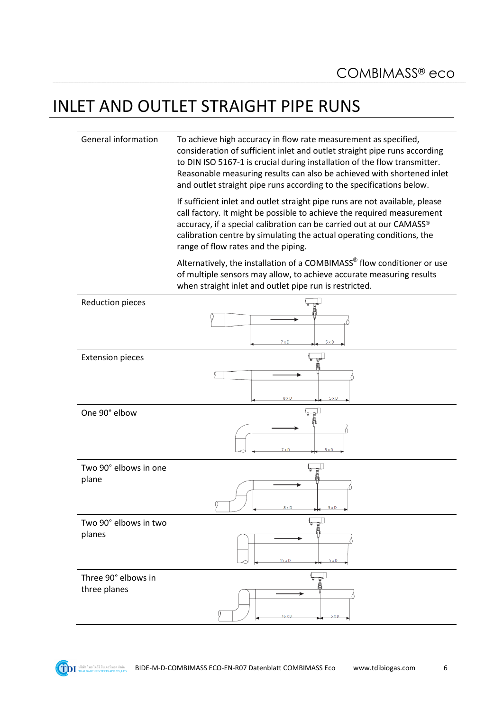### INLET AND OUTLET STRAIGHT PIPE RUNS

General information To achieve high accuracy in flow rate measurement as specified, consideration of sufficient inlet and outlet straight pipe runs according to DIN ISO 5167-1 is crucial during installation of the flow transmitter. Reasonable measuring results can also be achieved with shortened inlet and outlet straight pipe runs according to the specifications below.

> If sufficient inlet and outlet straight pipe runs are not available, please call factory. It might be possible to achieve the required measurement accuracy, if a special calibration can be carried out at our CAMASS® calibration centre by simulating the actual operating conditions, the range of flow rates and the piping.

Alternatively, the installation of a COMBIMASS<sup>®</sup> flow conditioner or use of multiple sensors may allow, to achieve accurate measuring results when straight inlet and outlet pipe run is restricted.

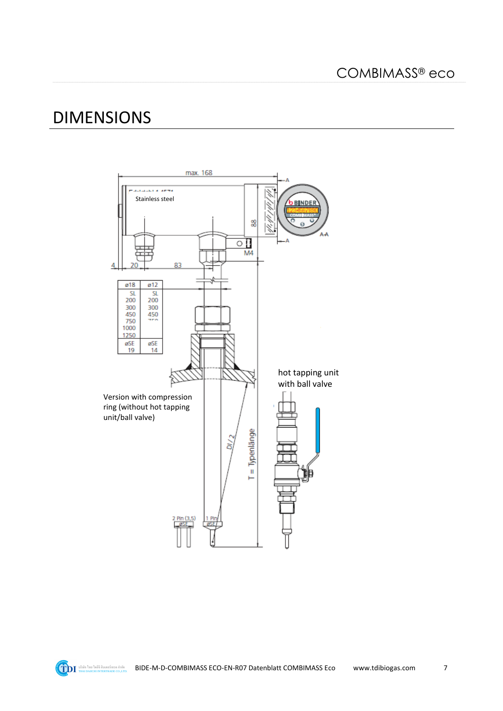$\overline{7}$ 

#### **DIMENSIONS**